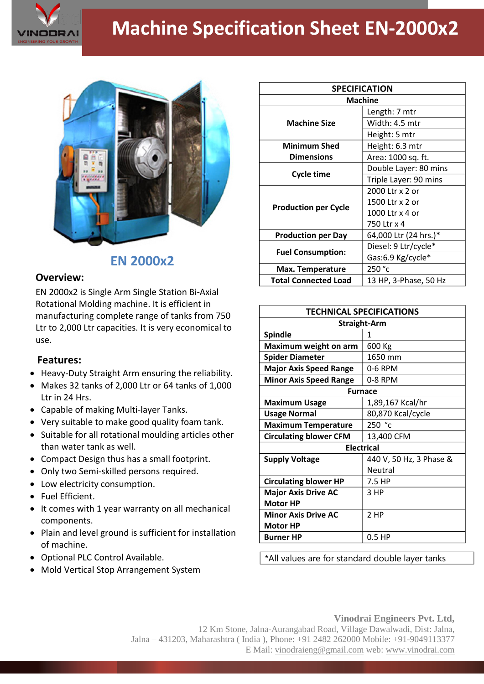

# **Machine Specification Sheet EN-2000x2**



## **EN 2000x2**

### **Overview:**

EN 2000x2 is Single Arm Single Station Bi-Axial Rotational Molding machine. It is efficient in manufacturing complete range of tanks from 750 Ltr to 2,000 Ltr capacities. It is very economical to use.

#### **Features:**

- Heavy-Duty Straight Arm ensuring the reliability.
- Makes 32 tanks of 2,000 Ltr or 64 tanks of 1,000 Ltr in 24 Hrs.
- Capable of making Multi-layer Tanks.
- Very suitable to make good quality foam tank.
- Suitable for all rotational moulding articles other than water tank as well.
- Compact Design thus has a small footprint.
- Only two Semi-skilled persons required.
- Low electricity consumption.
- Fuel Efficient.
- It comes with 1 year warranty on all mechanical components.
- Plain and level ground is sufficient for installation of machine.
- Optional PLC Control Available.
- Mold Vertical Stop Arrangement System

| <b>SPECIFICATION</b>        |                       |
|-----------------------------|-----------------------|
| <b>Machine</b>              |                       |
| <b>Machine Size</b>         | Length: 7 mtr         |
|                             | Width: 4.5 mtr        |
|                             | Height: 5 mtr         |
| <b>Minimum Shed</b>         | Height: 6.3 mtr       |
| <b>Dimensions</b>           | Area: 1000 sq. ft.    |
| Cycle time                  | Double Layer: 80 mins |
|                             | Triple Layer: 90 mins |
| <b>Production per Cycle</b> | 2000 Ltr x 2 or       |
|                             | 1500 Ltr x 2 or       |
|                             | 1000 Ltr x 4 or       |
|                             | 750 Ltr x 4           |
| <b>Production per Day</b>   | 64,000 Ltr (24 hrs.)* |
| <b>Fuel Consumption:</b>    | Diesel: 9 Ltr/cycle*  |
|                             | Gas:6.9 Kg/cycle*     |
| <b>Max. Temperature</b>     | 250 °c                |
| <b>Total Connected Load</b> | 13 HP, 3-Phase, 50 Hz |

| <b>TECHNICAL SPECIFICATIONS</b> |                         |
|---------------------------------|-------------------------|
| <b>Straight-Arm</b>             |                         |
| <b>Spindle</b>                  | 1                       |
| Maximum weight on arm           | 600 Kg                  |
| <b>Spider Diameter</b>          | 1650 mm                 |
| <b>Major Axis Speed Range</b>   | 0-6 RPM                 |
| <b>Minor Axis Speed Range</b>   | 0-8 RPM                 |
| <b>Furnace</b>                  |                         |
| <b>Maximum Usage</b>            | 1,89,167 Kcal/hr        |
| <b>Usage Normal</b>             | 80,870 Kcal/cycle       |
| <b>Maximum Temperature</b>      | 250 °c                  |
| <b>Circulating blower CFM</b>   | 13,400 CFM              |
| <b>Electrical</b>               |                         |
| <b>Supply Voltage</b>           | 440 V, 50 Hz, 3 Phase & |
|                                 | Neutral                 |
| <b>Circulating blower HP</b>    | 7.5 HP                  |
| <b>Major Axis Drive AC</b>      | 3 HP                    |
| <b>Motor HP</b>                 |                         |
| <b>Minor Axis Drive AC</b>      | 2 HP                    |
| <b>Motor HP</b>                 |                         |
| <b>Burner HP</b>                | $0.5$ HP                |

\*All values are for standard double layer tanks

#### **Vinodrai Engineers Pvt. Ltd,** 12 Km Stone, Jalna-Aurangabad Road, Village Dawalwadi, Dist: Jalna, Jalna – 431203, Maharashtra ( India ), Phone: +91 2482 262000 Mobile: +91-9049113377 E Mail: vinodraieng@gmail.com web: www.vinodrai.com